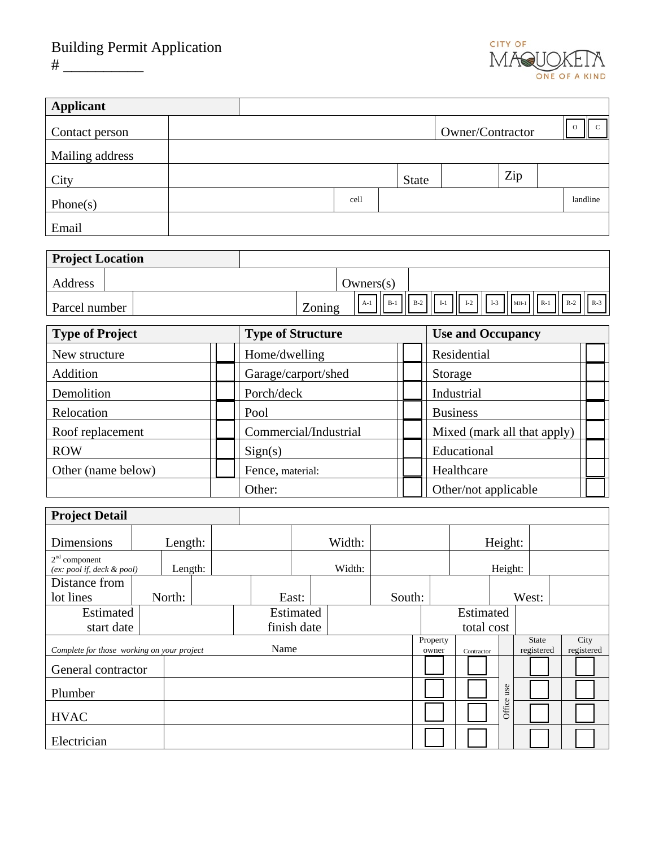## Building Permit Application # \_\_\_\_\_\_\_\_\_\_



| <b>Applicant</b> |  |      |              |                  |     |                   |
|------------------|--|------|--------------|------------------|-----|-------------------|
| Contact person   |  |      |              | Owner/Contractor |     | III c<br>$\Omega$ |
| Mailing address  |  |      |              |                  |     |                   |
| City             |  |      | <b>State</b> |                  | Zip |                   |
| Phone(s)         |  | cell |              |                  |     | landline          |
| Email            |  |      |              |                  |     |                   |

| <b>Project Location</b> |  |        |           |       |                          |  |  |  |  |
|-------------------------|--|--------|-----------|-------|--------------------------|--|--|--|--|
| Address                 |  |        | Owners(s) |       |                          |  |  |  |  |
| Parcel number           |  | Zoning |           | $A-1$ | $1$    B-1    B-2    I-1 |  |  |  |  |

| <b>Type of Project</b> | <b>Type of Structure</b> |  |                             |  |  |
|------------------------|--------------------------|--|-----------------------------|--|--|
| New structure          | Home/dwelling            |  | Residential                 |  |  |
| Addition               | Garage/carport/shed      |  | Storage                     |  |  |
| Demolition             | Porch/deck               |  | Industrial                  |  |  |
| Relocation             | Pool                     |  | <b>Business</b>             |  |  |
| Roof replacement       | Commercial/Industrial    |  | Mixed (mark all that apply) |  |  |
| <b>ROW</b>             | Sign(s)                  |  | Educational                 |  |  |
| Other (name below)     | Fence, material:         |  | Healthcare                  |  |  |
|                        | Other:                   |  | Other/not applicable        |  |  |

| <b>Project Detail</b>                         |         |  |      |             |        |        |                   |            |         |                            |                    |
|-----------------------------------------------|---------|--|------|-------------|--------|--------|-------------------|------------|---------|----------------------------|--------------------|
| <b>Dimensions</b>                             | Length: |  |      |             | Width: |        |                   |            | Height: |                            |                    |
| $2nd$ component<br>(ex: pool if, deck & pool) | Length: |  |      |             | Width: |        |                   |            | Height: |                            |                    |
| Distance from                                 |         |  |      |             |        |        |                   |            |         |                            |                    |
| lot lines                                     | North:  |  |      | East:       |        | South: |                   |            |         | West:                      |                    |
| Estimated                                     |         |  |      | Estimated   |        |        |                   | Estimated  |         |                            |                    |
| start date                                    |         |  |      | finish date |        |        |                   | total cost |         |                            |                    |
| Complete for those working on your project    |         |  | Name |             |        |        | Property<br>owner | Contractor |         | <b>State</b><br>registered | City<br>registered |
| General contractor                            |         |  |      |             |        |        |                   |            |         |                            |                    |
| Plumber                                       |         |  |      |             |        |        |                   |            | use     |                            |                    |
| <b>HVAC</b>                                   |         |  |      |             |        |        |                   |            | Office  |                            |                    |
| Electrician                                   |         |  |      |             |        |        |                   |            |         |                            |                    |